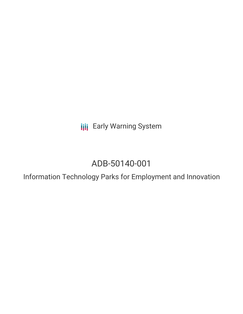**III** Early Warning System

# ADB-50140-001

Information Technology Parks for Employment and Innovation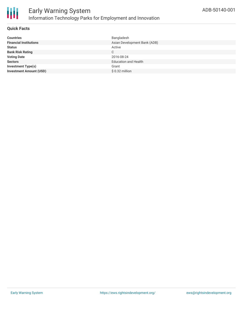

#### **Quick Facts**

| <b>Countries</b>               | Bangladesh                   |
|--------------------------------|------------------------------|
| <b>Financial Institutions</b>  | Asian Development Bank (ADB) |
| <b>Status</b>                  | Active                       |
| <b>Bank Risk Rating</b>        | C                            |
| <b>Voting Date</b>             | 2016-08-24                   |
| <b>Sectors</b>                 | <b>Education and Health</b>  |
| <b>Investment Type(s)</b>      | Grant                        |
| <b>Investment Amount (USD)</b> | $$0.32$ million              |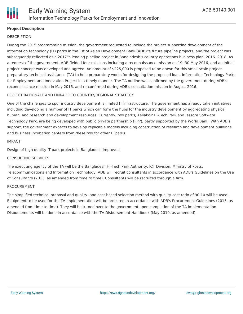

### **Project Description**

#### **DESCRIPTION**

During the 2015 programming mission, the government requested to include the project supporting development of the information technology (IT) parks in the list of Asian Development Bank (ADB)''s future pipeline projects, and the project was subsequently reflected as a 2017''s lending pipeline project in Bangladesh's country operations business plan, 2016 -2018. As a request of the government, ADB fielded four missions including a reconnaissance mission on 19 -30 May 2016, and an initial project concept was developed and agreed. An amount of \$225,000 is proposed to be drawn for this small-scale project preparatory technical assistance (TA) to help preparatory works for designing the proposed loan, Information Technology Parks for Employment and Innovation Project in a timely manner. The TA outline was confirmed by the government during ADB's reconnaissance mission in May 2016, and re-confirmed during ADB's consultation mission in August 2016.

#### PROJECT RATIONALE AND LINKAGE TO COUNTRY/REGIONAL STRATEGY

One of the challenges to spur industry development is limited IT infrastructure. The government has already taken initiatives including developing a number of IT parks which can form the hubs for the industry development by aggregating physical, human, and research and development resources. Currently, two parks, Kaliakoir Hi-Tech Park and Jessore Software Technology Park, are being developed with public private partnership (PPP), partly supported by the World Bank. With ADB's support, the government expects to develop replicable models including construction of research and development buildings and business incubation centers from these two for other IT parks.

#### IMPACT

Design of high quality IT park projects in Bangladesh improved

#### CONSULTING SERVICES

The executing agency of the TA will be the Bangladesh Hi-Tech Park Authority, ICT Division, Ministry of Posts, Telecommunications and Information Technology. ADB will recruit consultants in accordance with ADB's Guidelines on the Use of Consultants (2013, as amended from time to time). Consultants will be recruited through a firm.

#### PROCUREMENT

The simplified technical proposal and quality- and cost-based selection method with quality-cost ratio of 90:10 will be used. Equipment to be used for the TA implementation will be procured in accordance with ADB's Procurement Guidelines (2015, as amended from time to time). They will be turned over to the government upon completion of the TA implementation. Disbursements will be done in accordance with the TA Disbursement Handbook (May 2010, as amended).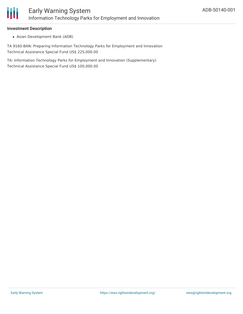#### **Investment Description**

Asian Development Bank (ADB)

TA 9160-BAN: Preparing Information Technology Parks for Employment and Innovation Technical Assistance Special Fund US\$ 225,000.00

TA: Information Technology Parks for Employment and Innovation (Supplementary) Technical Assistance Special Fund US\$ 100,000.00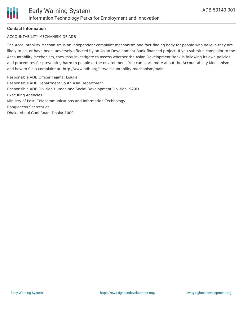## **Contact Information**

## ACCOUNTABILITY MECHANISM OF ADB

The Accountability Mechanism is an independent complaint mechanism and fact-finding body for people who believe they are likely to be, or have been, adversely affected by an Asian Development Bank-financed project. If you submit a complaint to the Accountability Mechanism, they may investigate to assess whether the Asian Development Bank is following its own policies and procedures for preventing harm to people or the environment. You can learn more about the Accountability Mechanism and how to file a complaint at: http://www.adb.org/site/accountability-mechanism/main

Responsible ADB Officer Tajima, Eisuke Responsible ADB Department South Asia Department Responsible ADB Division Human and Social Development Division, SARD Executing Agencies Ministry of Post, Telecommunications and Information Technology Bangladesh Secretariat Dhaka Abdul Gani Road, Dhaka-1000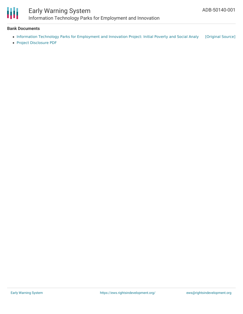

# Early Warning System Information Technology Parks for Employment and Innovation

#### **Bank Documents**

- Information Technology Parks for [Employment](https://ewsdata.rightsindevelopment.org/files/documents/01/ADB-50140-001.pdf) and Innovation Project: Initial Poverty and Social Analy [\[Original](https://www.adb.org/projects/documents/ban-it-parks-for-employment-and-innovation-ipsa) Source]
- Project [Disclosure](https://www.adb.org/printpdf/projects/50140-001/main) PDF